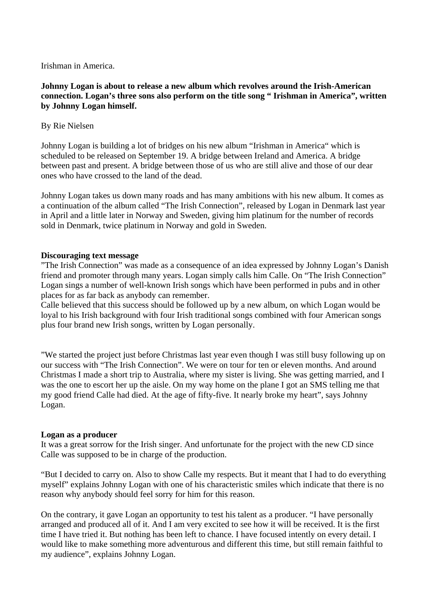Irishman in America.

**Johnny Logan is about to release a new album which revolves around the Irish-American connection. Logan's three sons also perform on the title song " Irishman in America", written by Johnny Logan himself.** 

# By Rie Nielsen

Johnny Logan is building a lot of bridges on his new album "Irishman in America" which is scheduled to be released on September 19. A bridge between Ireland and America. A bridge between past and present. A bridge between those of us who are still alive and those of our dear ones who have crossed to the land of the dead.

Johnny Logan takes us down many roads and has many ambitions with his new album. It comes as a continuation of the album called "The Irish Connection", released by Logan in Denmark last year in April and a little later in Norway and Sweden, giving him platinum for the number of records sold in Denmark, twice platinum in Norway and gold in Sweden.

## **Discouraging text message**

"The Irish Connection" was made as a consequence of an idea expressed by Johnny Logan's Danish friend and promoter through many years. Logan simply calls him Calle. On "The Irish Connection" Logan sings a number of well-known Irish songs which have been performed in pubs and in other places for as far back as anybody can remember.

Calle believed that this success should be followed up by a new album, on which Logan would be loyal to his Irish background with four Irish traditional songs combined with four American songs plus four brand new Irish songs, written by Logan personally.

"We started the project just before Christmas last year even though I was still busy following up on our success with "The Irish Connection". We were on tour for ten or eleven months. And around Christmas I made a short trip to Australia, where my sister is living. She was getting married, and I was the one to escort her up the aisle. On my way home on the plane I got an SMS telling me that my good friend Calle had died. At the age of fifty-five. It nearly broke my heart", says Johnny Logan.

## **Logan as a producer**

It was a great sorrow for the Irish singer. And unfortunate for the project with the new CD since Calle was supposed to be in charge of the production.

"But I decided to carry on. Also to show Calle my respects. But it meant that I had to do everything myself" explains Johnny Logan with one of his characteristic smiles which indicate that there is no reason why anybody should feel sorry for him for this reason.

On the contrary, it gave Logan an opportunity to test his talent as a producer. "I have personally arranged and produced all of it. And I am very excited to see how it will be received. It is the first time I have tried it. But nothing has been left to chance. I have focused intently on every detail. I would like to make something more adventurous and different this time, but still remain faithful to my audience", explains Johnny Logan.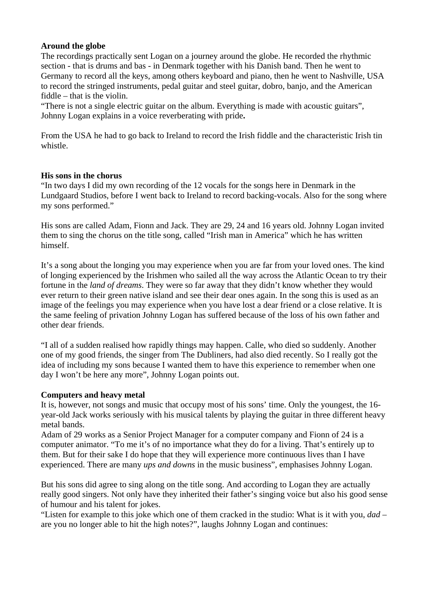## **Around the globe**

The recordings practically sent Logan on a journey around the globe. He recorded the rhythmic section - that is drums and bas - in Denmark together with his Danish band. Then he went to Germany to record all the keys, among others keyboard and piano, then he went to Nashville, USA to record the stringed instruments, pedal guitar and steel guitar, dobro, banjo, and the American fiddle – that is the violin.

"There is not a single electric guitar on the album. Everything is made with acoustic guitars", Johnny Logan explains in a voice reverberating with pride**.** 

From the USA he had to go back to Ireland to record the Irish fiddle and the characteristic Irish tin whistle.

## **His sons in the chorus**

"In two days I did my own recording of the 12 vocals for the songs here in Denmark in the Lundgaard Studios, before I went back to Ireland to record backing-vocals. Also for the song where my sons performed."

His sons are called Adam, Fionn and Jack. They are 29, 24 and 16 years old. Johnny Logan invited them to sing the chorus on the title song, called "Irish man in America" which he has written himself.

It's a song about the longing you may experience when you are far from your loved ones. The kind of longing experienced by the Irishmen who sailed all the way across the Atlantic Ocean to try their fortune in the *land of dreams*. They were so far away that they didn't know whether they would ever return to their green native island and see their dear ones again. In the song this is used as an image of the feelings you may experience when you have lost a dear friend or a close relative. It is the same feeling of privation Johnny Logan has suffered because of the loss of his own father and other dear friends.

"I all of a sudden realised how rapidly things may happen. Calle, who died so suddenly. Another one of my good friends, the singer from The Dubliners, had also died recently. So I really got the idea of including my sons because I wanted them to have this experience to remember when one day I won't be here any more", Johnny Logan points out.

## **Computers and heavy metal**

It is, however, not songs and music that occupy most of his sons' time. Only the youngest, the 16 year-old Jack works seriously with his musical talents by playing the guitar in three different heavy metal bands.

Adam of 29 works as a Senior Project Manager for a computer company and Fionn of 24 is a computer animator. "To me it's of no importance what they do for a living. That's entirely up to them. But for their sake I do hope that they will experience more continuous lives than I have experienced. There are many *ups and downs* in the music business", emphasises Johnny Logan.

But his sons did agree to sing along on the title song. And according to Logan they are actually really good singers. Not only have they inherited their father's singing voice but also his good sense of humour and his talent for jokes.

"Listen for example to this joke which one of them cracked in the studio: What is it with you, *dad* – are you no longer able to hit the high notes?", laughs Johnny Logan and continues: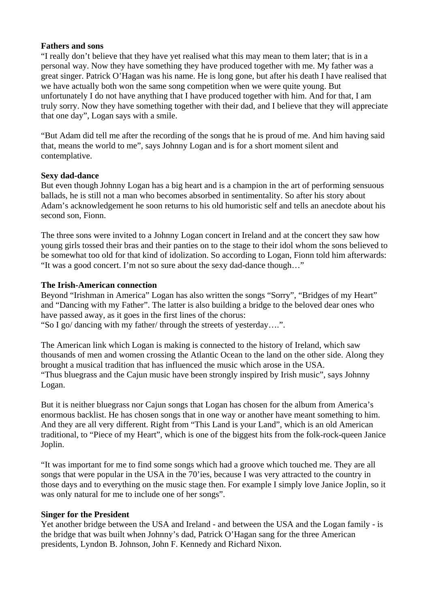#### **Fathers and sons**

"I really don't believe that they have yet realised what this may mean to them later; that is in a personal way. Now they have something they have produced together with me. My father was a great singer. Patrick O'Hagan was his name. He is long gone, but after his death I have realised that we have actually both won the same song competition when we were quite young. But unfortunately I do not have anything that I have produced together with him. And for that, I am truly sorry. Now they have something together with their dad, and I believe that they will appreciate that one day", Logan says with a smile.

"But Adam did tell me after the recording of the songs that he is proud of me. And him having said that, means the world to me", says Johnny Logan and is for a short moment silent and contemplative.

## **Sexy dad-dance**

But even though Johnny Logan has a big heart and is a champion in the art of performing sensuous ballads, he is still not a man who becomes absorbed in sentimentality. So after his story about Adam's acknowledgement he soon returns to his old humoristic self and tells an anecdote about his second son, Fionn.

The three sons were invited to a Johnny Logan concert in Ireland and at the concert they saw how young girls tossed their bras and their panties on to the stage to their idol whom the sons believed to be somewhat too old for that kind of idolization. So according to Logan, Fionn told him afterwards: "It was a good concert. I'm not so sure about the sexy dad-dance though…"

## **The Irish-American connection**

Beyond "Irishman in America" Logan has also written the songs "Sorry", "Bridges of my Heart" and "Dancing with my Father". The latter is also building a bridge to the beloved dear ones who have passed away, as it goes in the first lines of the chorus:

"So I go/ dancing with my father/ through the streets of yesterday….".

The American link which Logan is making is connected to the history of Ireland, which saw thousands of men and women crossing the Atlantic Ocean to the land on the other side. Along they brought a musical tradition that has influenced the music which arose in the USA. "Thus bluegrass and the Cajun music have been strongly inspired by Irish music", says Johnny Logan.

But it is neither bluegrass nor Cajun songs that Logan has chosen for the album from America's enormous backlist. He has chosen songs that in one way or another have meant something to him. And they are all very different. Right from "This Land is your Land", which is an old American traditional, to "Piece of my Heart", which is one of the biggest hits from the folk-rock-queen Janice Joplin.

"It was important for me to find some songs which had a groove which touched me. They are all songs that were popular in the USA in the 70'ies, because I was very attracted to the country in those days and to everything on the music stage then. For example I simply love Janice Joplin, so it was only natural for me to include one of her songs".

## **Singer for the President**

Yet another bridge between the USA and Ireland - and between the USA and the Logan family - is the bridge that was built when Johnny's dad, Patrick O'Hagan sang for the three American presidents, Lyndon B. Johnson, John F. Kennedy and Richard Nixon.